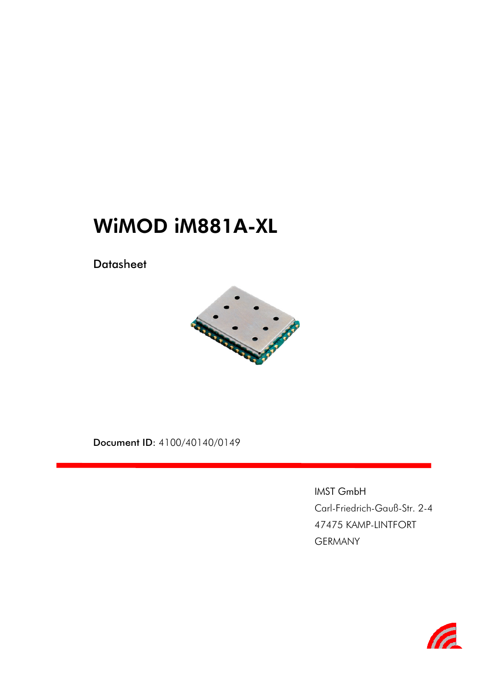# WiMOD iM881A-XL

**Datasheet** 



Document ID: 4100/40140/0149

IMST GmbH Carl-Friedrich-Gauß-Str. 2-4 47475 KAMP-LINTFORT GERMANY

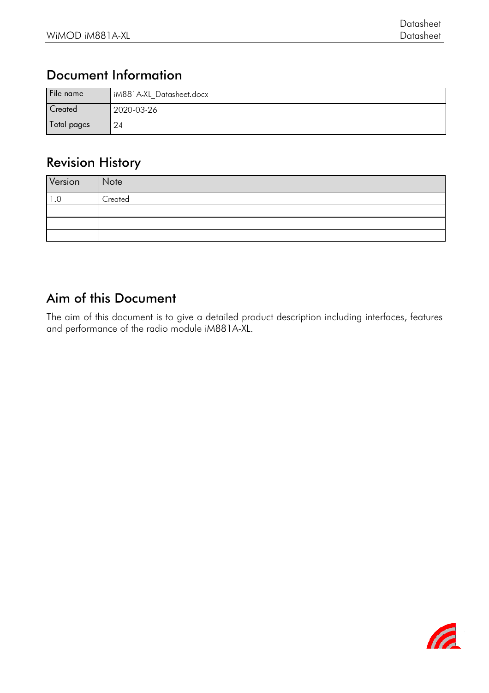### Document Information

| File name   | IM881A-XL Datasheet.docx |
|-------------|--------------------------|
| Created     | 2020-03-26               |
| Total pages | $\mathcal{L}^{4}$        |

### Revision History

| Version | Note    |
|---------|---------|
| .U      | Created |
|         |         |
|         |         |
|         |         |

### Aim of this Document

The aim of this document is to give a detailed product description including interfaces, features and performance of the radio module iM881A-XL.

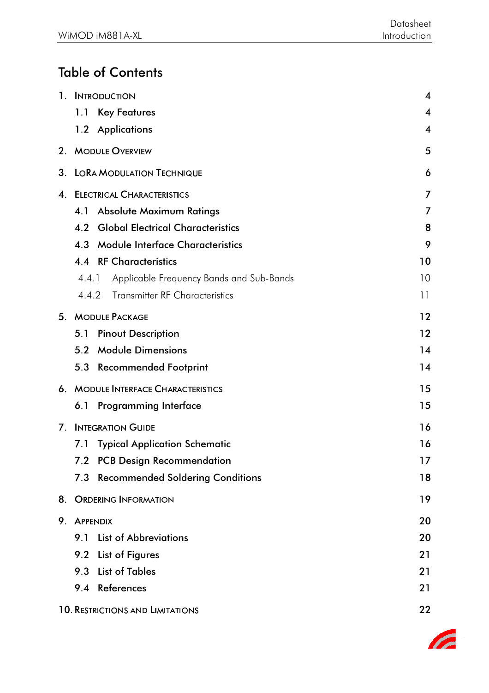# Table of Contents

|    |                 | 1. INTRODUCTION                          | $\overline{\mathbf{4}}$ |
|----|-----------------|------------------------------------------|-------------------------|
|    | 1.1             | <b>Key Features</b>                      | $\overline{\mathbf{4}}$ |
|    |                 | 1.2 Applications                         | $\overline{\mathbf{4}}$ |
|    |                 | 2. MODULE OVERVIEW                       | 5                       |
|    |                 | 3. LORA MODULATION TECHNIQUE             | 6                       |
| 4. |                 | <b>ELECTRICAL CHARACTERISTICS</b>        | 7                       |
|    | 4.1             | <b>Absolute Maximum Ratings</b>          | 7                       |
|    | 4.2             | <b>Global Electrical Characteristics</b> | 8                       |
|    | 4.3             | <b>Module Interface Characteristics</b>  | 9                       |
|    |                 | <b>4.4 RF Characteristics</b>            | 10                      |
|    | 4.4.1           | Applicable Frequency Bands and Sub-Bands | 10                      |
|    | 4.4.2           | <b>Transmitter RF Characteristics</b>    | 11                      |
|    |                 | 5. MODULE PACKAGE                        | 12                      |
|    | 5.1             | <b>Pinout Description</b>                | 12                      |
|    | 5.2             | <b>Module Dimensions</b>                 | 14                      |
|    | 5.3             | <b>Recommended Footprint</b>             | 14                      |
| 6. |                 | <b>MODULE INTERFACE CHARACTERISTICS</b>  | 15                      |
|    |                 | 6.1 Programming Interface                | 15                      |
| 7. |                 | <b>INTEGRATION GUIDE</b>                 | 16                      |
|    | 7.1             | <b>Typical Application Schematic</b>     | 16                      |
|    |                 | 7.2 PCB Design Recommendation            | 17                      |
|    |                 | 7.3 Recommended Soldering Conditions     | 18                      |
| 8. |                 | <b>ORDERING INFORMATION</b>              | 19                      |
| 9. | <b>APPENDIX</b> |                                          | 20                      |
|    |                 | 9.1 List of Abbreviations                | 20                      |
|    |                 | 9.2 List of Figures                      | 21                      |
|    | 9.3             | <b>List of Tables</b>                    | 21                      |
|    |                 | 9.4 References                           | 21                      |
|    |                 | <b>10. RESTRICTIONS AND LIMITATIONS</b>  | 22                      |

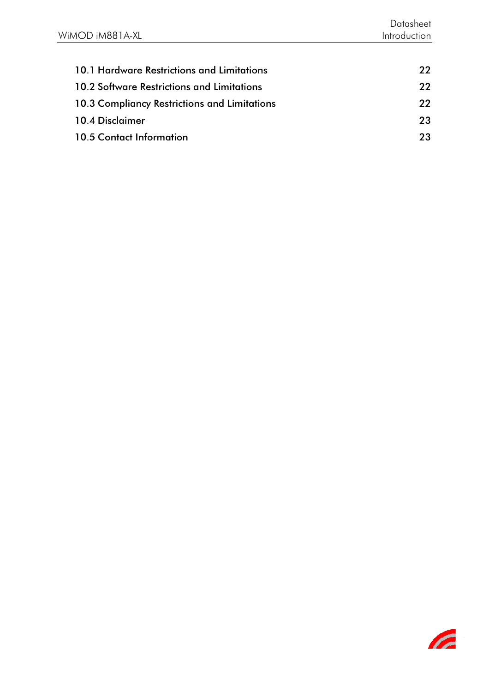| 10.1 Hardware Restrictions and Limitations        | 22. |
|---------------------------------------------------|-----|
| <b>10.2 Software Restrictions and Limitations</b> | 22. |
| 10.3 Compliancy Restrictions and Limitations      | 22  |
| 10.4 Disclaimer                                   | 23  |
| 10.5 Contact Information                          | 23. |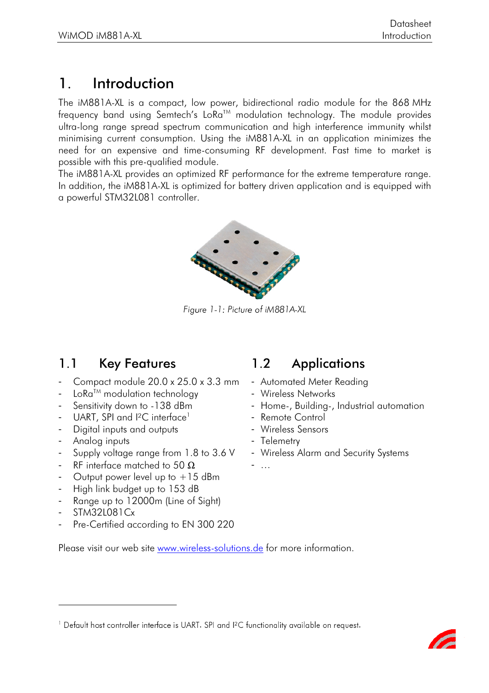# 1. Introduction

The iM881A-XL is a compact, low power, bidirectional radio module for the 868 MHz frequency band using Semtech's  $LoRa^{TM}$  modulation technology. The module provides ultra-long range spread spectrum communication and high interference immunity whilst minimising current consumption. Using the iM881A-XL in an application minimizes the need for an expensive and time-consuming RF development. Fast time to market is possible with this pre-qualified module.

The iM881A-XL provides an optimized RF performance for the extreme temperature range. In addition, the iM881A-XL is optimized for battery driven application and is equipped with a powerful STM32L081 controller.



Figure 1-1: Picture of iM881A-XL

### 1.1 Key Features 1.2 Applications

- Compact module 20.0 x 25.0 x 3.3 mm
- Lo $Ra^{TM}$  modulation technology
- Sensitivity down to -138 dBm
- UART, SPI and  $I^2C$  interface<sup>1</sup>
- Digital inputs and outputs
- Analog inputs
- Supply voltage range from 1.8 to 3.6 V
- RF interface matched to 50  $\Omega$
- Output power level up to  $+15$  dBm
- High link budget up to 153 dB
- Range up to 12000m (Line of Sight)
- STM32L081Cx

Pre-Certified according to EN 300 220

# Please visit our web site www.wireless-solutions.de for more information.

- Automated Meter Reading
- Wireless Networks
- Home-, Building-, Industrial automation
- Remote Control
- Wireless Sensors
- Telemetry
- Wireless Alarm and Security Systems

<sup>-</sup> …

We requisit post controller interface is UART. SET and FC tunctionality available on request.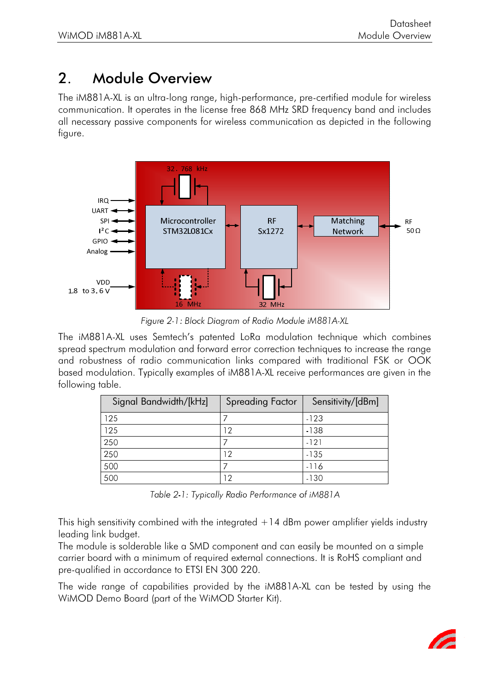# 2. Module Overview

The iM881A-XL is an ultra-long range, high-performance, pre-certified module for wireless communication. It operates in the license free 868 MHz SRD frequency band and includes all necessary passive components for wireless communication as depicted in the following figure.



Figure 2-1: Block Diagram of Radio Module iM881A-XL

The iM881A-XL uses Semtech's patented LoRa modulation technique which combines spread spectrum modulation and forward error correction techniques to increase the range and robustness of radio communication links compared with traditional FSK or OOK based modulation. Typically examples of iM881A-XL receive performances are given in the following table.

| Signal Bandwidth/[kHz] | <b>Spreading Factor</b> | Sensitivity/[dBm] |
|------------------------|-------------------------|-------------------|
| 125                    |                         | $-123$            |
| 125                    | -2                      | $-138$            |
| 250                    |                         | $-121$            |
| 250                    | 12                      | $-135$            |
| 500                    |                         | $-116$            |
| 500                    | - 2                     | $-130$            |

Table 2-1: Typically Radio Performance of iM881A

This high sensitivity combined with the integrated  $+14$  dBm power amplifier yields industry leading link budget.

The module is solderable like a SMD component and can easily be mounted on a simple carrier board with a minimum of required external connections. It is RoHS compliant and pre-qualified in accordance to ETSI EN 300 220.

The wide range of capabilities provided by the iM881A-XL can be tested by using the WiMOD Demo Board (part of the WiMOD Starter Kit).

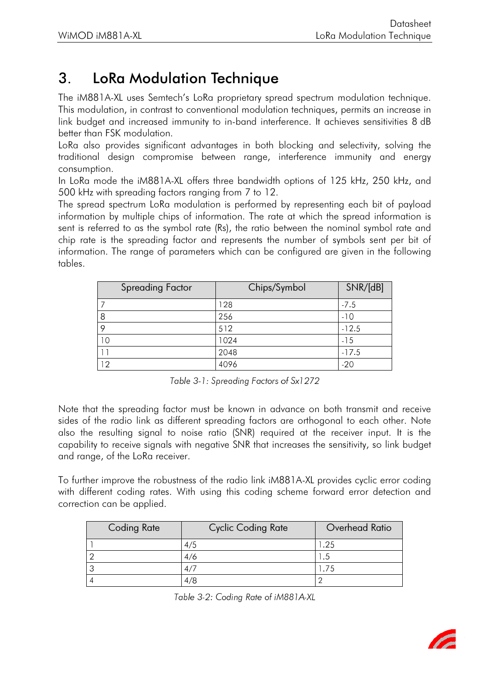# 3. LoRa Modulation Technique

The iM881A-XL uses Semtech's LoRa proprietary spread spectrum modulation technique. This modulation, in contrast to conventional modulation techniques, permits an increase in link budget and increased immunity to in-band interference. It achieves sensitivities 8 dB better than FSK modulation.

LoRa also provides significant advantages in both blocking and selectivity, solving the traditional design compromise between range, interference immunity and energy consumption.

In LoRa mode the iM881A-XL offers three bandwidth options of 125 kHz, 250 kHz, and 500 kHz with spreading factors ranging from 7 to 12.

The spread spectrum LoRa modulation is performed by representing each bit of payload information by multiple chips of information. The rate at which the spread information is sent is referred to as the symbol rate (Rs), the ratio between the nominal symbol rate and chip rate is the spreading factor and represents the number of symbols sent per bit of information. The range of parameters which can be configured are given in the following tables.

| <b>Spreading Factor</b> | Chips/Symbol | SNR/[dB] |
|-------------------------|--------------|----------|
|                         | 28           | $-7.5$   |
|                         | 256          | $-10$    |
|                         | 512          | $-12.5$  |
| ١O                      | 1024         | $-15$    |
|                         | 2048         | $-17.5$  |
| 12                      | 4096         | $-20$    |

Table 3-1: Spreading Factors of  $Sx1272$ 

Note that the spreading factor must be known in advance on both transmit and receive sides of the radio link as different spreading factors are orthogonal to each other. Note also the resulting signal to noise ratio (SNR) required at the receiver input. It is the capability to receive signals with negative SNR that increases the sensitivity, so link budget and range, of the LoRa receiver.

To further improve the robustness of the radio link iM881A-XL provides cyclic error coding with different coding rates. With using this coding scheme forward error detection and correction can be applied.

| <b>Coding Rate</b> | <b>Cyclic Coding Rate</b> | Overhead Ratio |
|--------------------|---------------------------|----------------|
|                    | 4/5                       | .25            |
|                    | 4/6                       | - 5            |
|                    |                           |                |
|                    | 4/8                       |                |

Table 3-2: Coding Rate of iM88 1A-XL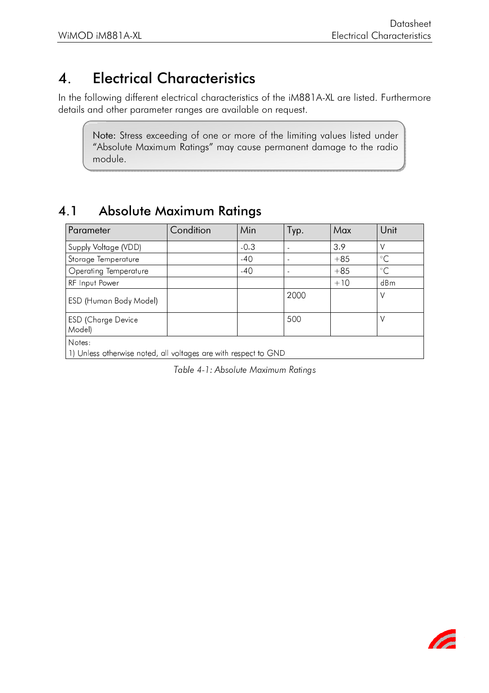# 4. Electrical Characteristics

In the following different electrical characteristics of the iM881A-XL are listed. Furthermore details and other parameter ranges are available on request.

Note: Stress exceeding of one or more of the limiting values listed under "Absolute Maximum Ratings" may cause permanent damage to the radio module.

#### 4.1 Absolute Maximum Ratings

| Parameter                                                                 | Condition | Min    | Tур.           | Max   | Unit         |
|---------------------------------------------------------------------------|-----------|--------|----------------|-------|--------------|
| Supply Voltage (VDD)                                                      |           | $-0.3$ |                | 3.9   |              |
| Storage Temperature                                                       |           | $-40$  | $\blacksquare$ | $+85$ | $^{\circ}$ C |
| Operating Temperature                                                     |           | $-40$  | $\blacksquare$ | $+85$ | $^{\circ}C$  |
| RF Input Power                                                            |           |        |                | $+10$ | dBm          |
| ESD (Human Body Model)                                                    |           |        | 2000           |       | ν            |
| <b>ESD</b> (Charge Device<br>Model)                                       |           |        | 500            |       | V            |
| Notes:<br>1) Unless otherwise noted, all voltages are with respect to GND |           |        |                |       |              |

Table 4-1: Absolute Maximum Ratings

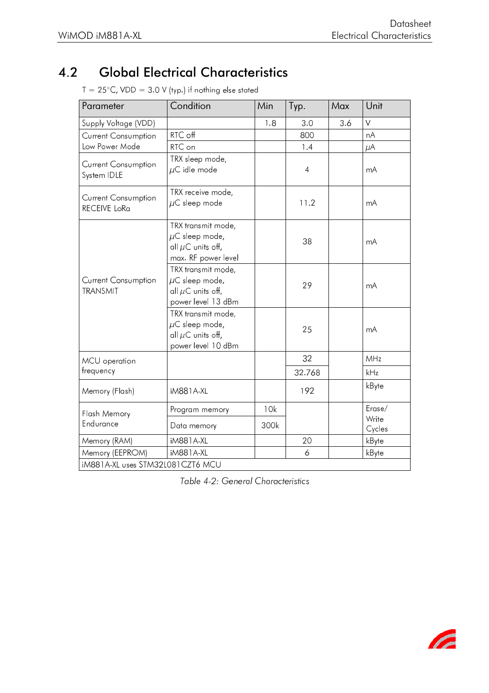## 4.2 Global Electrical Characteristics

| RTC off<br>RTC on                                                                          | 1.8                              | 3.0            | 3.6 |                 |
|--------------------------------------------------------------------------------------------|----------------------------------|----------------|-----|-----------------|
|                                                                                            |                                  |                |     | $\vee$          |
|                                                                                            |                                  | 800            |     | nA              |
|                                                                                            |                                  | 1.4            |     | $\mu$ A         |
| TRX sleep mode,<br>$\mu$ C idle mode                                                       |                                  | $\overline{4}$ |     | mA              |
| TRX receive mode,<br>$\mu$ C sleep mode                                                    |                                  | 11.2           |     | mA              |
| TRX transmit mode,<br>$\mu$ C sleep mode,<br>all $\mu$ C units off,<br>max. RF power level |                                  | 38             |     | mA              |
| TRX transmit mode,<br>$\mu$ C sleep mode,<br>all $\mu$ C units off,<br>power level 13 dBm  |                                  | 29             |     | mA              |
| TRX transmit mode,<br>$\mu$ C sleep mode,<br>all $\mu$ C units off,<br>power level 10 dBm  |                                  | 25             |     | mA              |
|                                                                                            |                                  | 32             |     | MHz             |
|                                                                                            |                                  | 32.768         |     | kHz             |
| iM881A-XL                                                                                  |                                  | 192            |     | kByte           |
| Program memory                                                                             | 10k                              |                |     | $E$ rase/       |
| Data memory                                                                                | 300k                             |                |     | Write<br>Cycles |
| iM881A-XL                                                                                  |                                  | 20             |     | kByte           |
| iM881A-XL                                                                                  |                                  | 6              |     | kByte           |
|                                                                                            | iM881A-XL uses STM32L081CZT6 MCU |                |     |                 |

 $T = 25^{\circ}$ C, VDD = 3.0 V (typ.) if nothing else stated

Table 4-2: General Characteristics

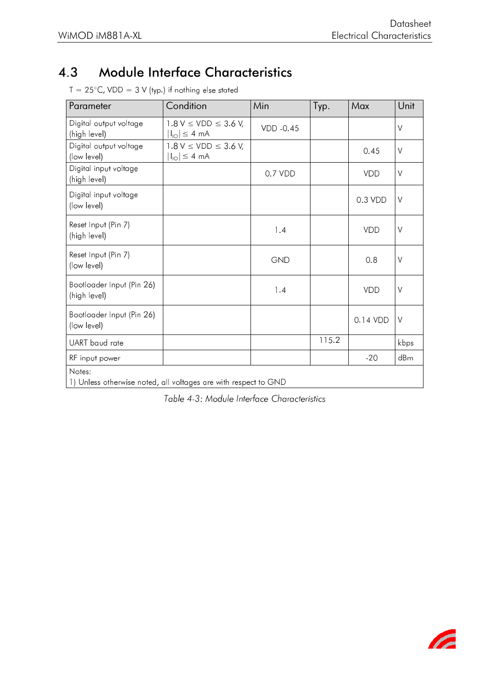#### Module Interface Characteristics  $4.3$

| Parameter                                                                 | Condition                                                           | Min       | Typ.  | Max        | Unit   |
|---------------------------------------------------------------------------|---------------------------------------------------------------------|-----------|-------|------------|--------|
| Digital output voltage<br>(high level)                                    | $1.8 V \leq VDD \leq 3.6 V,$<br>$ I_{\text{lo}}  \leq 4$ mA         | VDD -0.45 |       |            | $\vee$ |
| Digital output voltage<br>(low level)                                     | $1.8 V \leq VDD \leq 3.6 V,$<br>$ I_{\text{IO}}  \leq 4 \text{ mA}$ |           |       | 0.45       | $\vee$ |
| Digital input voltage<br>(high level)                                     |                                                                     | 0.7 VDD   |       | <b>VDD</b> | $\vee$ |
| Digital input voltage<br>(low level)                                      |                                                                     |           |       | $0.3$ VDD  | $\vee$ |
| Reset Input (Pin 7)<br>(high level)                                       |                                                                     | 1.4       |       | <b>VDD</b> | $\vee$ |
| Reset Input (Pin 7)<br>(low level)                                        |                                                                     | GND       |       | 0.8        | $\vee$ |
| Bootloader Input (Pin 26)<br>(high level)                                 |                                                                     | 1.4       |       | <b>VDD</b> | $\vee$ |
| Bootloader Input (Pin 26)<br>(low level)                                  |                                                                     |           |       | 0.14 VDD   | $\vee$ |
| UART baud rate                                                            |                                                                     |           | 115.2 |            | kbps   |
| RF input power                                                            |                                                                     |           |       | $-20$      | dBm    |
| Notes:<br>1) Unless otherwise noted, all voltages are with respect to GND |                                                                     |           |       |            |        |

 $T = 25^{\circ}$ C, VDD = 3 V (typ.) if nothing else stated

Table 4-3: Module Interface Characteristics

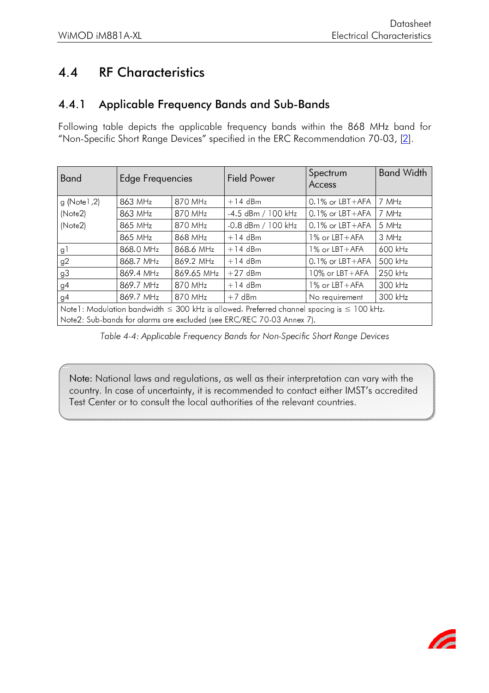#### **RF Characteristics**  $4.4$

#### $4.4.1$ Applicable Frequency Bands and Sub-Bands

Following table depicts the applicable frequency bands within the 868 MHz band for "Non-Specific Short Range Devices" specified in the ERC Recommendation 70-03, [2].

| <b>Band</b>                                                                                         | Edge Frequencies |            | <b>Field Power</b>                                                    | Spectrum<br>Access   | <b>Band Width</b> |  |
|-----------------------------------------------------------------------------------------------------|------------------|------------|-----------------------------------------------------------------------|----------------------|-------------------|--|
| g(Note1,2)                                                                                          | 863 MHz          | 870 MHz    | $+14$ dBm                                                             | $0.1\%$ or $LBT+AFA$ | 7 MHz             |  |
| (Note2)                                                                                             | 863 MHz          | 870 MHz    | $-4.5$ dBm / 100 kHz                                                  | $0.1\%$ or $LBT+AFA$ | 7 MHz             |  |
| (Note2)                                                                                             | 865 MHz          | 870 MHz    | $-0.8$ dBm / 100 kHz                                                  | $0.1\%$ or $LBT+AFA$ | 5 MHz             |  |
|                                                                                                     | 865 MHz          | 868 MHz    | $+14$ dBm                                                             | $1\%$ or $LBT+AFA$   | 3 MHz             |  |
| g l                                                                                                 | 868.0 MHz        | 868.6 MHz  | $+14$ dBm                                                             | $1\%$ or $LBT+AFA$   | 600 kHz           |  |
| g <sub>2</sub>                                                                                      | 868.7 MHz        | 869.2 MHz  | $+14$ dBm                                                             | $0.1\%$ or $LBT+AFA$ | 500 kHz           |  |
| g <sub>3</sub>                                                                                      | 869.4 MHz        | 869.65 MHz | $+27$ dBm                                                             | $10\%$ or $LBT+AFA$  | 250 kHz           |  |
| g4                                                                                                  | 869.7 MHz        | 870 MHz    | $+14$ dBm                                                             | $1\%$ or LBT + AFA   | 300 kHz           |  |
| g4                                                                                                  | 869.7 MHz        | 870 MHz    | $+7$ dBm                                                              | No requirement       | 300 kHz           |  |
| Note1: Modulation bandwidth $\leq 300$ kHz is allowed. Preferred channel spacing is $\leq 100$ kHz. |                  |            |                                                                       |                      |                   |  |
|                                                                                                     |                  |            | Note2: Sub-bands for alarms are excluded (see ERC/REC 70-03 Annex 7). |                      |                   |  |

Table 4-4: Applicable Frequency Bands for Non-Specific Short Range Devices

Note: National laws and regulations, as well as their interpretation can vary with the country. In case of uncertainty, it is recommended to contact either IMST's accredited Test Center or to consult the local authorities of the relevant countries.

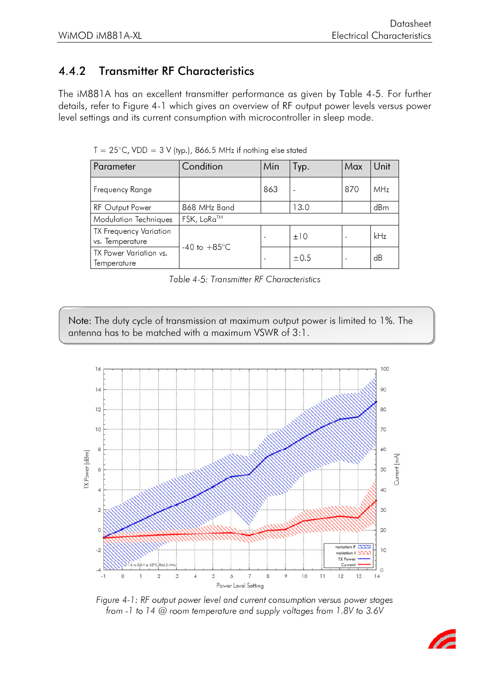#### **Transmitter RF Characteristics**  $4.4.2$

The iM881A has an excellent transmitter performance as given by Table 4-5. For further details, refer to Figure 4-1 which gives an overview of RF output power levels versus power level settings and its current consumption with microcontroller in sleep mode.

| Parameter                                        | Condition              | Min | Tур.      | Max | Unit |
|--------------------------------------------------|------------------------|-----|-----------|-----|------|
| Frequency Range                                  |                        | 863 |           | 870 | MHz  |
| <b>RF Output Power</b>                           | 868 MHz Band           |     | 13.0      |     | dBm  |
| Modulation Techniques                            | FSK, LoRa™             |     |           |     |      |
| <b>TX Frequency Variation</b><br>vs. Temperature |                        |     | ±10       |     | kHz  |
| TX Power Variation vs.<br>Temperature            | -40 to $+85^{\circ}$ C |     | $\pm 0.5$ |     | dB   |

 $T = 25^{\circ}$ C, VDD = 3 V (typ.), 866.5 MHz if nothing else stated

|  |  | Table 4-5: Transmitter RF Characteristics |  |  |
|--|--|-------------------------------------------|--|--|
|--|--|-------------------------------------------|--|--|

Note: The duty cycle of transmission at maximum output power is limited to 1%. The antenna has to be matched with a maximum VSWR of 3:1.



Figure 4-1: RF output power level and current consumption versus power stages from -1 to 14 @ room temperature and supply voltages from 1.8V to 3.6V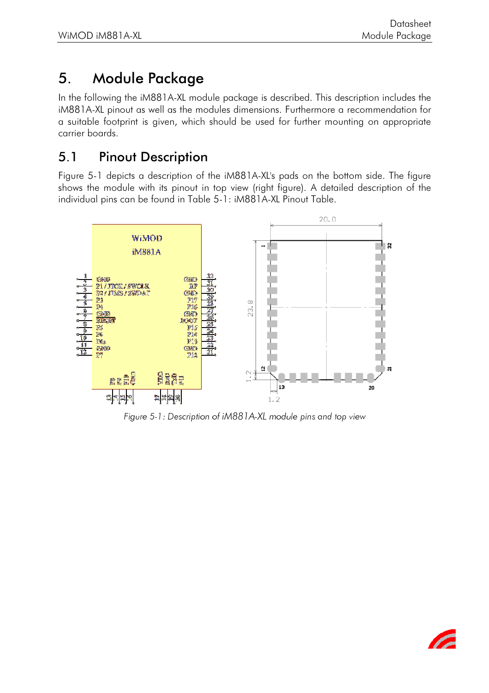# 5. Module Package

In the following the iM881A-XL module package is described. This description includes the iM881A-XL pinout as well as the modules dimensions. Furthermore a recommendation for a suitable footprint is given, which should be used for further mounting on appropriate carrier boards.

#### 5.1 Pinout Description

Figure 5-1 depicts a description of the iM881A-XL's pads on the bottom side. The figure shows the module with its pinout in top view (right figure). A detailed description of the individual pins can be found in Table 5-1: iM881A-XL Pinout Table.



Figure 5-1: Description of iM881A-XL module pins and top view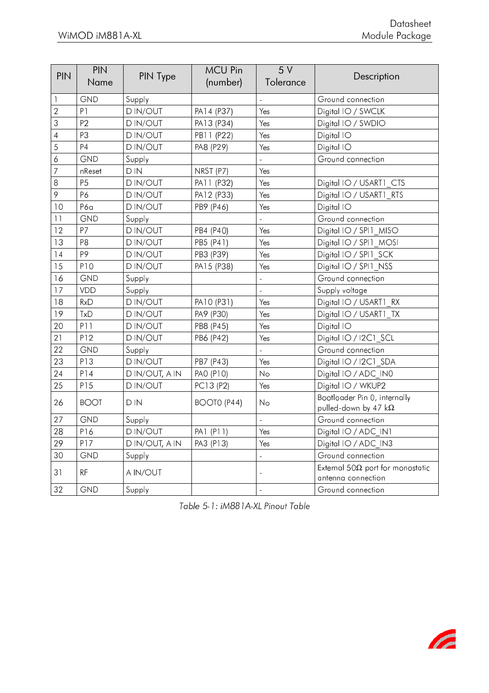| <b>PIN</b>     | <b>PIN</b><br>Name | PIN Type       | <b>MCU Pin</b><br>(number) | 5 V<br>Tolerance | Description                                                    |
|----------------|--------------------|----------------|----------------------------|------------------|----------------------------------------------------------------|
| 1              | <b>GND</b>         | Supply         |                            |                  | Ground connection                                              |
| $\overline{2}$ | P <sub>1</sub>     | <b>DIN/OUT</b> | PA14 (P37)                 | Yes              | Digital IO / SWCLK                                             |
| 3              | P <sub>2</sub>     | <b>DIN/OUT</b> | PA13 (P34)                 | Yes              | Digital IO / SWDIO                                             |
| $\overline{4}$ | P3                 | <b>DIN/OUT</b> | PB11 (P22)                 | Yes              | Digital IO                                                     |
| 5              | <b>P4</b>          | <b>DIN/OUT</b> | PA8 (P29)                  | Yes              | Digital IO                                                     |
| 6              | <b>GND</b>         | Supply         |                            |                  | Ground connection                                              |
| 7              | nReset             | $D$ $N$        | NRST (P7)                  | Yes              |                                                                |
| 8              | P <sub>5</sub>     | <b>DIN/OUT</b> | PA11 (P32)                 | Yes              | Digital IO / USART1 CTS                                        |
| 9              | P6                 | <b>DIN/OUT</b> | PA12 (P33)                 | Yes              | Digital IO / USART1 RTS                                        |
| 10             | P6a                | <b>DIN/OUT</b> | PB9 (P46)                  | Yes              | Digital IO                                                     |
| 11             | GND                | Supply         |                            |                  | Ground connection                                              |
| 12             | P7                 | <b>DIN/OUT</b> | PB4 (P40)                  | Yes              | Digital IO / SPI1<br><b>MISO</b>                               |
| 13             | P8                 | D IN/OUT       | PB5 (P41)                  | Yes              | Digital IO / SPI1 MOSI                                         |
| 14             | P <sub>9</sub>     | D IN/OUT       | PB3 (P39)                  | Yes              | Digital IO / SPI1 SCK                                          |
| 15             | <b>P10</b>         | <b>DIN/OUT</b> | PA15 (P38)                 | Yes              | Digital IO / SPI1 NSS                                          |
| 16             | <b>GND</b>         | Supply         |                            |                  | Ground connection                                              |
| 17             | VDD                | Supply         |                            | $\overline{a}$   | Supply voltage                                                 |
| 18             | <b>RxD</b>         | <b>DIN/OUT</b> | PA10 (P31)                 | Yes              | Digital IO / USART1<br>RX                                      |
| 19             | TxD                | D IN/OUT       | PA9 (P30)                  | Yes              | Digital IO / USART1 TX                                         |
| 20             | <b>P11</b>         | <b>DIN/OUT</b> | PB8 (P45)                  | Yes              | Digital IO                                                     |
| 21             | P12                | <b>DIN/OUT</b> | PB6 (P42)                  | Yes              | Digital IO / I2C1 SCL                                          |
| 22             | <b>GND</b>         | Supply         |                            |                  | Ground connection                                              |
| 23             | P13                | <b>DIN/OUT</b> | PB7 (P43)                  | Yes              | Digital IO / I2C1 SDA                                          |
| 24             | P14                | D IN/OUT, A IN | PAO (P10)                  | No               | Digital IO / ADC IN0                                           |
| 25             | P15                | <b>DIN/OUT</b> | PC13 (P2)                  | Yes              | Digital IO / WKUP2                                             |
| 26             | <b>BOOT</b>        | $D$ $N$        | BOOTO (P44)                | No               | Bootloader Pin 0, internally<br>pulled-down by 47 $k\Omega$    |
| 27             | GND                | Supply         |                            |                  | Ground connection                                              |
| 28             | P16                | <b>DIN/OUT</b> | PA1 (P11)                  | Yes              | Digital IO / ADC IN1                                           |
| 29             | P17                | D IN/OUT, A IN | PA3 (P13)                  | Yes              | Digital IO / ADC IN3                                           |
| 30             | <b>GND</b>         | Supply         |                            | L,               | Ground connection                                              |
| 31             | RF                 | A IN/OUT       |                            | $\overline{a}$   | External 50 $\Omega$ port for monostatic<br>antenna connection |
| 32             | <b>GND</b>         | Supply         |                            | $\overline{a}$   | Ground connection                                              |

Table 5-1: iM881A-XL Pinout Table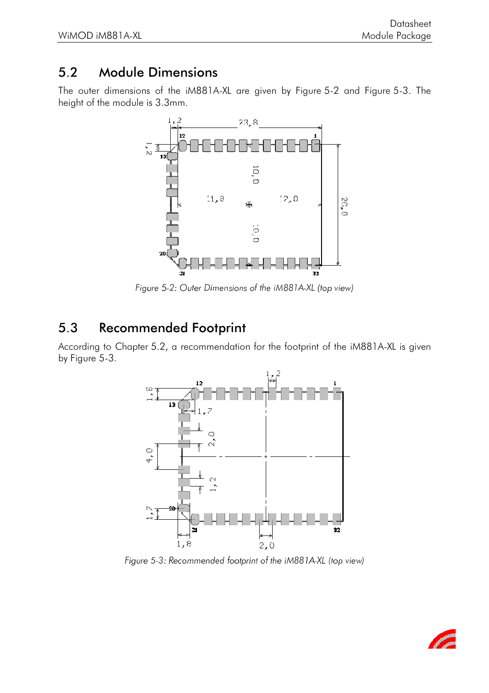### 5.2 Module Dimensions

The outer dimensions of the iM881A-XL are given by Figure 5-2 and Figure 5-3. The height of the module is 3.3mm.



Figure 5-2: Outer Dimensions of the iM881A-XL (top view)

#### 5.3 Recommended Footprint

According to Chapter 5.2, a recommendation for the footprint of the iM881A-XL is given by Figure 5-3.



Figure 5-3: Recommended footprint of the iM88 IA-XL (top view)

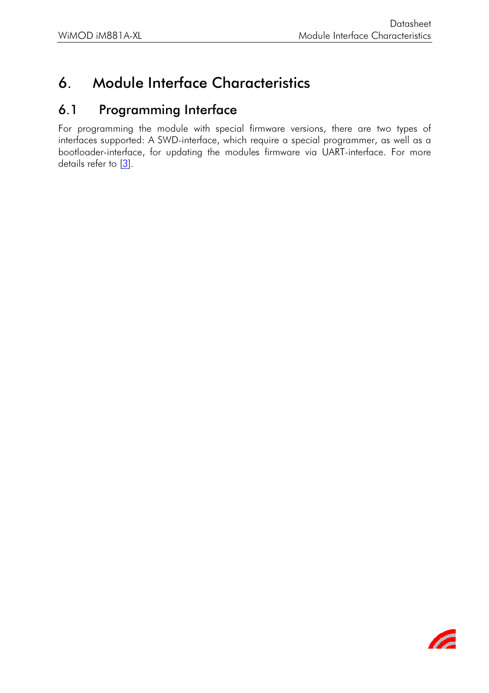# 6. Module Interface Characteristics

#### 6.1 Programming Interface

For programming the module with special firmware versions, there are two types of interfaces supported: A SWD-interface, which require a special programmer, as well as a bootloader-interface, for updating the modules firmware via UART-interface. For more details refer to  $[3]$ .

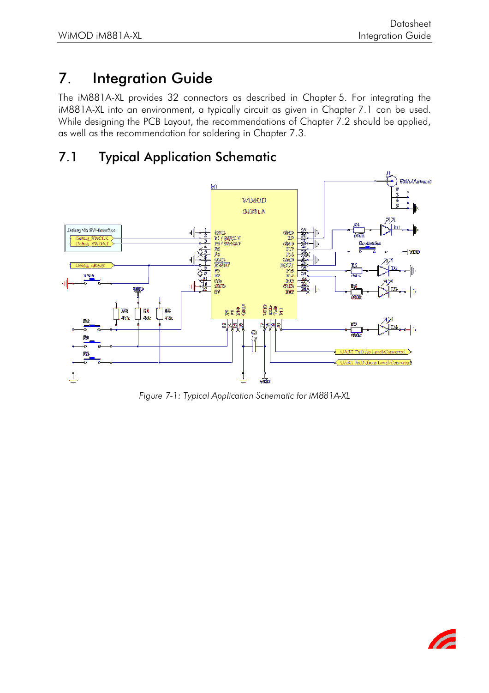# 7. Integration Guide

The iM881A-XL provides 32 connectors as described in Chapter 5. For integrating the iM881A-XL into an environment, a typically circuit as given in Chapter 7.1 can be used. While designing the PCB Layout, the recommendations of Chapter 7.2 should be applied, as well as the recommendation for soldering in Chapter 7.3.

### 7.1 Typical Application Schematic



Figure 7-1: Typical Application Schematic for iM881A-XL

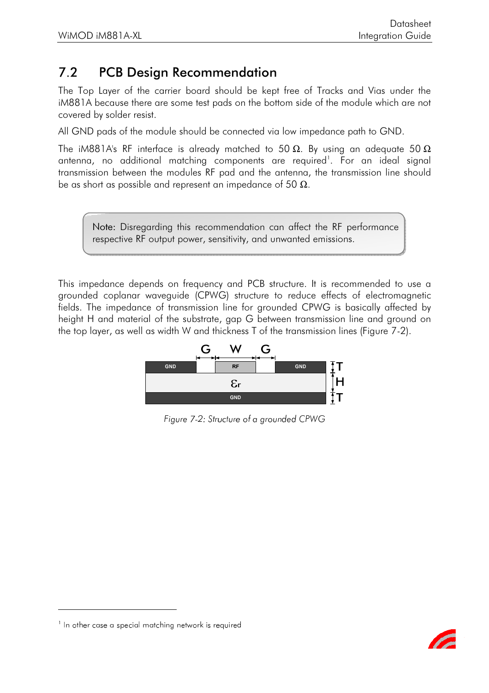### 7.2 PCB Design Recommendation

The Top Layer of the carrier board should be kept free of Tracks and Vias under the iM881A because there are some test pads on the bottom side of the module which are not covered by solder resist.

All GND pads of the module should be connected via low impedance path to GND.

The iM881A's RF interface is already matched to 50  $\Omega$ . By using an adequate 50  $\Omega$ antenna, no additional matching components are required . For an ideal signal transmission between the modules RF pad and the antenna, the transmission line should be as short as possible and represent an impedance of 50  $\Omega$ .

Note: Disregarding this recommendation can affect the RF performance respective RF output power, sensitivity, and unwanted emissions.

This impedance depends on frequency and PCB structure. It is recommended to use a grounded coplanar waveguide (CPWG) structure to reduce effects of electromagnetic fields. The impedance of transmission line for grounded CPWG is basically affected by height H and material of the substrate, gap G between transmission line and ground on the top layer, as well as width W and thickness T of the transmission lines (Figure 7-2).



Figure 7-2: Structure of a grounded CPWG



 $^\circ$  in orner case a special marching network is required  $^\circ$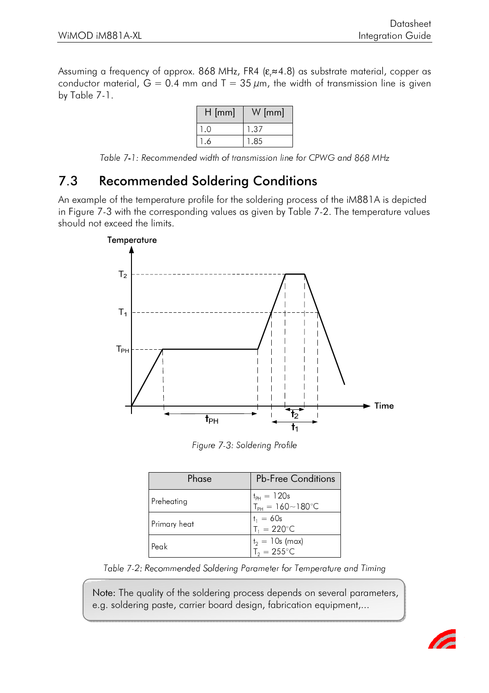Assuming a frequency of approx. 868 MHz, FR4 ( $\varepsilon_{\text{r}}$ ≈4.8) as substrate material, copper as conductor material,  $G = 0.4$  mm and T = 35  $\mu$ m, the width of transmission line is given by Table 7-1.

| $H$ [mm] | $W$ [mm] |
|----------|----------|
|          | .37      |
| n        | -85      |

Table 7-1: Recommended width of transmission line for CPWG and 868 MHz

#### 7.3 Recommended Soldering Conditions

An example of the temperature profile for the soldering process of the iM881A is depicted in Figure 7-3 with the corresponding values as given by Table 7-2. The temperature values should not exceed the limits.



Figure 7-3: Soldering Profile

| Phase        | <b>Pb-Free Conditions</b>                           |
|--------------|-----------------------------------------------------|
| Preheating   | $t_{PH} = 120s$<br>$T_{PH} = 160 \sim 180^{\circ}C$ |
| Primary heat | $t_1 = 60s$<br>$T_1 = 220^{\circ}C$                 |
| Peak         | $t_2 = 10s$ (max)<br>$T_2 = 255^{\circ}$ C          |

Table 7-2: Recommended Soldering Parameter for Temperature and Timing

Note: The quality of the soldering process depends on several parameters, e.g. soldering paste, carrier board design, fabrication equipment,...

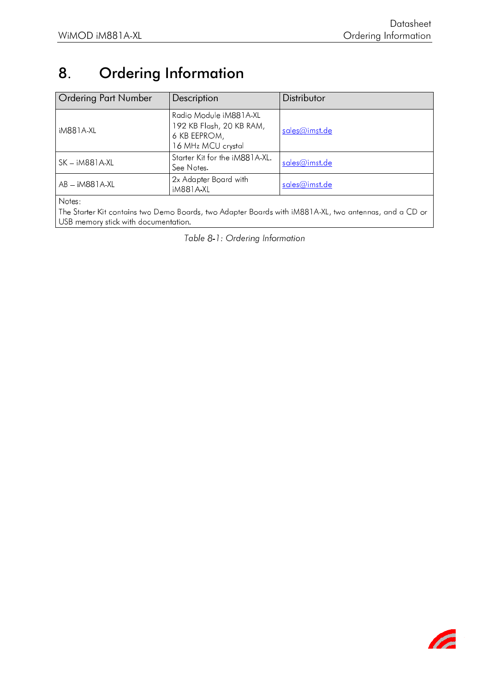#### 8. **Ordering Information**

| <b>Ordering Part Number</b> | Description                                                                              | Distributor   |
|-----------------------------|------------------------------------------------------------------------------------------|---------------|
| iM881A-XL                   | Radio Module iM881A-XL<br>192 KB Flash, 20 KB RAM,<br>6 KB EEPROM,<br>16 MHz MCU crystal | sales@imst.de |
| $SK - iM881A-XL$            | Starter Kit for the iM881A-XL.<br>See Notes.                                             | sales@imst.de |
| AB - iM881 A XL             | 2x Adapter Board with<br><b>iM881A-XL</b>                                                | sales@imst.de |
| Notes:                      |                                                                                          |               |

The Starter Kit contains two Demo Boards, two Adapter Boards with iM881 A-XL, two antennas, and a CD or USB memory stick with documentation.

Table 8-1: Ordering Information

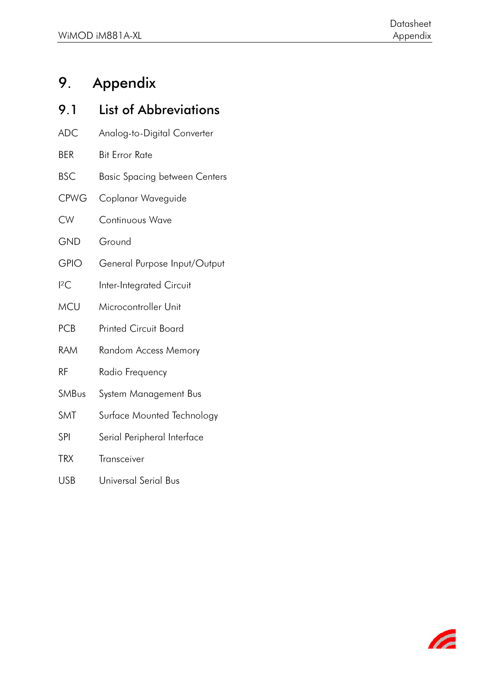# 9. Appendix

| 9.1         | <b>List of Abbreviations</b>  |
|-------------|-------------------------------|
| <b>ADC</b>  | Analog-to-Digital Converter   |
| <b>BER</b>  | <b>Bit Error Rate</b>         |
| <b>BSC</b>  | Basic Spacing between Centers |
| <b>CPWG</b> | Coplanar Waveguide            |
| <b>CW</b>   | <b>Continuous Wave</b>        |
| <b>GND</b>  | Ground                        |
| <b>GPIO</b> | General Purpose Input/Output  |
| ${}^{12}C$  | Inter-Integrated Circuit      |
| <b>MCU</b>  | Microcontroller Unit          |
| <b>PCB</b>  | <b>Printed Circuit Board</b>  |
| <b>RAM</b>  | <b>Random Access Memory</b>   |
| <b>RF</b>   | Radio Frequency               |
| SMBus       | System Management Bus         |
| SMT         | Surface Mounted Technology    |
| SPI         | Serial Peripheral Interface   |
| <b>TRX</b>  | Transceiver                   |
| <b>USB</b>  | Universal Serial Bus          |

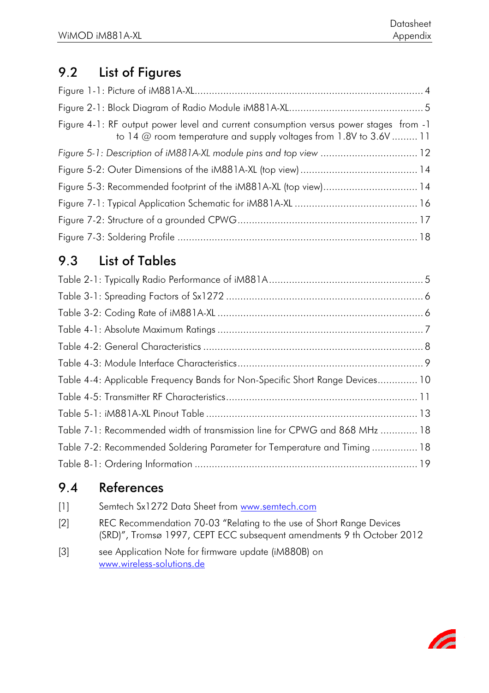# 9.2 List of Figures

| Figure 4-1: RF output power level and current consumption versus power stages from -1<br>to 14 @ room temperature and supply voltages from 1.8V to 3.6V  11 |  |
|-------------------------------------------------------------------------------------------------------------------------------------------------------------|--|
| Figure 5-1: Description of iM881A-XL module pins and top view  12                                                                                           |  |
|                                                                                                                                                             |  |
| Figure 5-3: Recommended footprint of the iM881A-XL (top view) 14                                                                                            |  |
|                                                                                                                                                             |  |
|                                                                                                                                                             |  |
|                                                                                                                                                             |  |

# 9.3 List of Tables

| Table 4-4: Applicable Frequency Bands for Non-Specific Short Range Devices 10 |
|-------------------------------------------------------------------------------|
|                                                                               |
|                                                                               |
| Table 7-1: Recommended width of transmission line for CPWG and 868 MHz  18    |
| Table 7-2: Recommended Soldering Parameter for Temperature and Timing 18      |
|                                                                               |

## 9.4 References

| $[1]$ | Semtech Sx1272 Data Sheet from www.semtech.com                                                                                                |
|-------|-----------------------------------------------------------------------------------------------------------------------------------------------|
| $[2]$ | REC Recommendation 70-03 "Relating to the use of Short Range Devices<br>(SRD)", Tromsø 1997, CEPT ECC subsequent amendments 9 th October 2012 |
| $[3]$ | see Application Note for firmware update (iM880B) on<br>www.wireless-solutions.de                                                             |

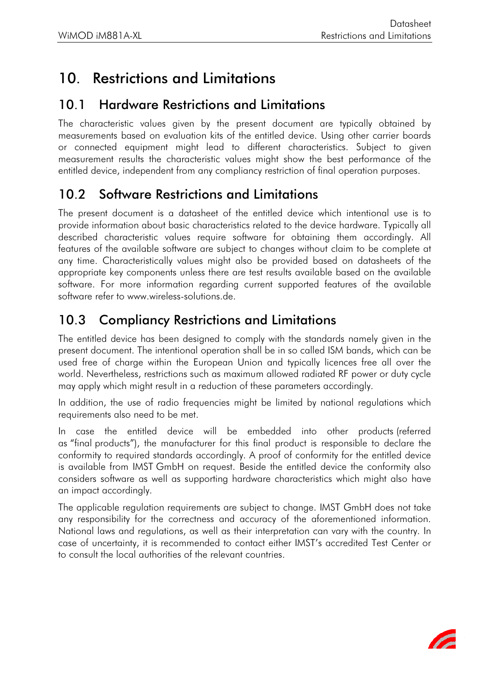# 10. Restrictions and Limitations

#### 10.1 Hardware Restrictions and Limitations

The characteristic values given by the present document are typically obtained by measurements based on evaluation kits of the entitled device. Using other carrier boards or connected equipment might lead to different characteristics. Subject to given measurement results the characteristic values might show the best performance of the entitled device, independent from any compliancy restriction of final operation purposes.

#### 10.2 Software Restrictions and Limitations

The present document is a datasheet of the entitled device which intentional use is to provide information about basic characteristics related to the device hardware. Typically all described characteristic values require software for obtaining them accordingly. All features of the available software are subject to changes without claim to be complete at any time. Characteristically values might also be provided based on datasheets of the appropriate key components unless there are test results available based on the available software. For more information regarding current supported features of the available software refer to www.wireless-solutions.de.

### 10.3 Compliancy Restrictions and Limitations

The entitled device has been designed to comply with the standards namely given in the present document. The intentional operation shall be in so called ISM bands, which can be used free of charge within the European Union and typically licences free all over the world. Nevertheless, restrictions such as maximum allowed radiated RF power or duty cycle may apply which might result in a reduction of these parameters accordingly.

In addition, the use of radio frequencies might be limited by national regulations which requirements also need to be met.

In case the entitled device will be embedded into other products (referred as "final products"), the manufacturer for this final product is responsible to declare the conformity to required standards accordingly. A proof of conformity for the entitled device is available from IMST GmbH on request. Beside the entitled device the conformity also considers software as well as supporting hardware characteristics which might also have an impact accordingly.

The applicable regulation requirements are subject to change. IMST GmbH does not take any responsibility for the correctness and accuracy of the aforementioned information. National laws and regulations, as well as their interpretation can vary with the country. In case of uncertainty, it is recommended to contact either IMST's accredited Test Center or to consult the local authorities of the relevant countries.